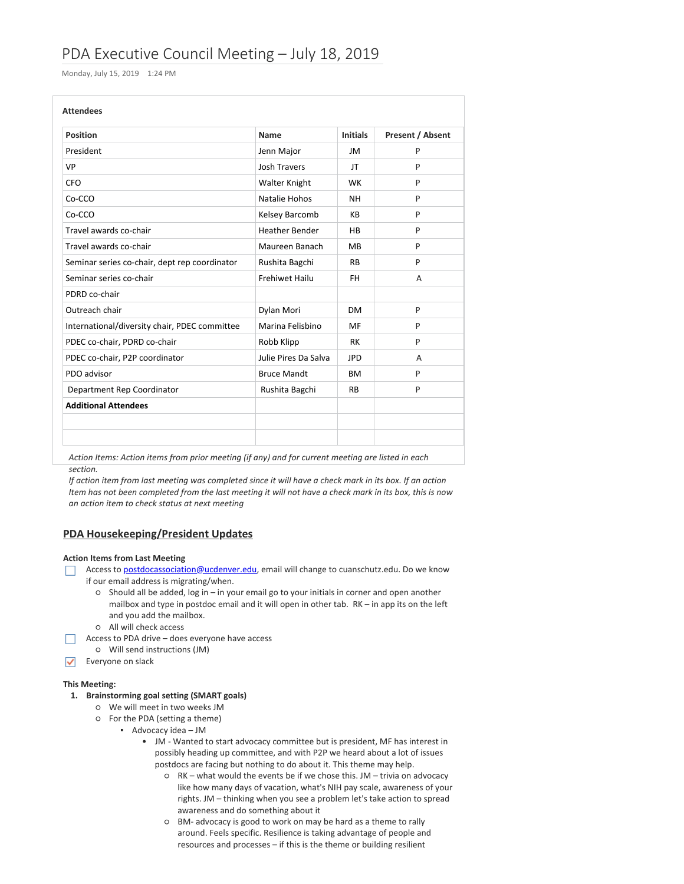# PDA Executive Council Meeting – July 18, 2019

Monday, July 15, 2019 1:24 PM

| <b>Attendees</b>                              |                       |                 |                  |
|-----------------------------------------------|-----------------------|-----------------|------------------|
| <b>Position</b>                               | <b>Name</b>           | <b>Initials</b> | Present / Absent |
| President                                     | Jenn Major            | JM              | P                |
| <b>VP</b>                                     | Josh Travers          | JT.             | P                |
| CFO.                                          | Walter Knight         | <b>WK</b>       | P                |
| Co-CCO                                        | Natalie Hohos         | <b>NH</b>       | P                |
| Co-CCO                                        | Kelsey Barcomb        | КB              | P                |
| Travel awards co-chair                        | <b>Heather Bender</b> | <b>HB</b>       | P                |
| Travel awards co-chair                        | Maureen Banach        | MB              | P                |
| Seminar series co-chair, dept rep coordinator | Rushita Bagchi        | <b>RB</b>       | P                |
| Seminar series co-chair                       | <b>Frehiwet Hailu</b> | FH.             | A                |
| PDRD co-chair                                 |                       |                 |                  |
| Outreach chair                                | Dylan Mori            | <b>DM</b>       | P                |
| International/diversity chair, PDEC committee | Marina Felisbino      | MF              | P                |
| PDEC co-chair, PDRD co-chair                  | Robb Klipp            | <b>RK</b>       | P                |
| PDEC co-chair, P2P coordinator                | Julie Pires Da Salva  | <b>JPD</b>      | A                |
| PDO advisor                                   | <b>Bruce Mandt</b>    | <b>BM</b>       | P                |
| Department Rep Coordinator                    | Rushita Bagchi        | <b>RB</b>       | P                |
| <b>Additional Attendees</b>                   |                       |                 |                  |
|                                               |                       |                 |                  |
|                                               |                       |                 |                  |

*Action Items: Action items from prior meeting (if any) and for current meeting are listed in each section.*

If action item from last meeting was completed since it will have a check mark in its box. If an action Item has not been completed from the last meeting it will not have a check mark in its box, this is now *an action item to check status at next meeting*

# **PDA Housekeeping/President Updates**

## **Action Items from Last Meeting**

Access to [postdocassociation@ucdenver.edu,](mailto:postdocassociation@ucdenver.edu) email will change to cuanschutz.edu. Do we know if our email address is migrating/when.

- Should all be added, log in in your email go to your initials in corner and open another mailbox and type in postdoc email and it will open in other tab. RK – in app its on the left and you add the mailbox.
- All will check access
- Access to PDA drive does everyone have access
	- Will send instructions (JM)
- $\blacktriangleright$  Everyone on slack

## **This Meeting:**

## **1. Brainstorming goal setting (SMART goals)**

- We will meet in two weeks JM
- For the PDA (setting a theme)
	- Advocacy idea JM
		- JM Wanted to start advocacy committee but is president, MF has interest in possibly heading up committee, and with P2P we heard about a lot of issues postdocs are facing but nothing to do about it. This theme may help.
			- o RK what would the events be if we chose this. JM trivia on advocacy like how many days of vacation, what's NIH pay scale, awareness of your rights. JM – thinking when you see a problem let's take action to spread awareness and do something about it
			- BM- advocacy is good to work on may be hard as a theme to rally around. Feels specific. Resilience is taking advantage of people and resources and processes - if this is the theme or building resilient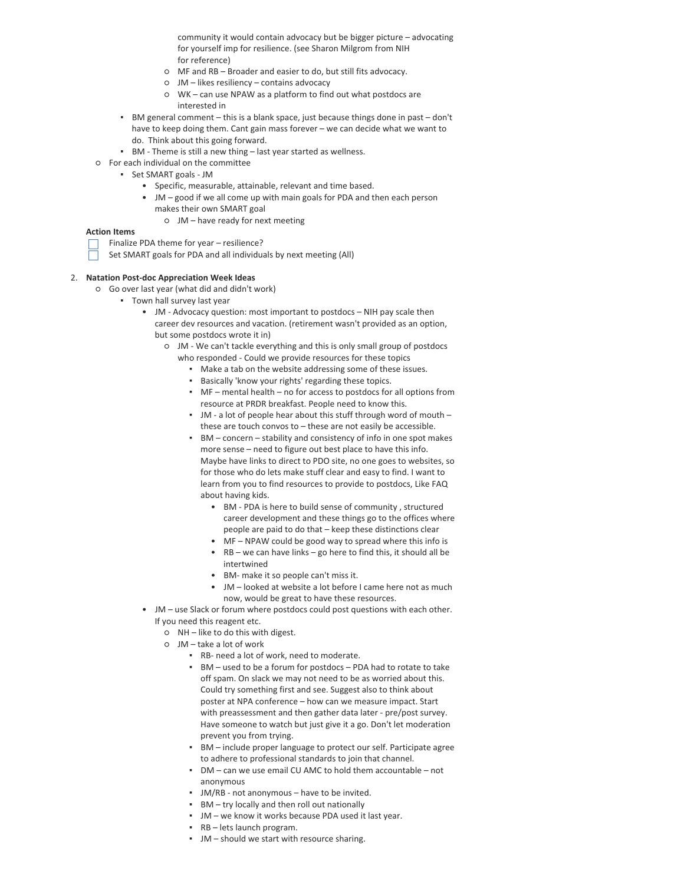community it would contain advocacy but be bigger picture – advocating for yourself imp for resilience. (see Sharon Milgrom from NIH for reference)

- MF and RB Broader and easier to do, but still fits advocacy.
- JM likes resiliency contains advocacy
- WK can use NPAW as a platform to find out what postdocs are interested in
- BM general comment this is a blank space, just because things done in past don't have to keep doing them. Cant gain mass forever – we can decide what we want to do. Think about this going forward.
- BM Theme is still a new thing last year started as wellness.
- For each individual on the committee
	- Set SMART goals JM
		- Specific, measurable, attainable, relevant and time based.
		- JM good if we all come up with main goals for PDA and then each person makes their own SMART goal
			- JM have ready for next meeting

#### **Action Items**

- Finalize PDA theme for year resilience?
- Set SMART goals for PDA and all individuals by next meeting (All)

#### 2. **Natation Post-doc Appreciation Week Ideas**

- Go over last year (what did and didn't work)
	- Town hall survey last year
		- JM Advocacy question: most important to postdocs NIH pay scale then career dev resources and vacation. (retirement wasn't provided as an option, but some postdocs wrote it in)
			- o JM We can't tackle everything and this is only small group of postdocs who responded - Could we provide resources for these topics
				- Make a tab on the website addressing some of these issues.
				- Basically 'know your rights' regarding these topics.
				- MF mental health no for access to postdocs for all options from resource at PRDR breakfast. People need to know this.
				- $\blacksquare$  JM a lot of people hear about this stuff through word of mouth these are touch convos to – these are not easily be accessible.
				- $\bullet$  BM concern stability and consistency of info in one spot makes more sense – need to figure out best place to have this info. Maybe have links to direct to PDO site, no one goes to websites, so for those who do lets make stuff clear and easy to find. I want to learn from you to find resources to provide to postdocs, Like FAQ about having kids.
					- BM PDA is here to build sense of community, structured career development and these things go to the offices where people are paid to do that – keep these distinctions clear
					- MF NPAW could be good way to spread where this info is
					- RB we can have links go here to find this, it should all be intertwined
					- BM- make it so people can't miss it.
					- JM looked at website a lot before I came here not as much now, would be great to have these resources.
		- JM use Slack or forum where postdocs could post questions with each other. If you need this reagent etc.
			- NH like to do this with digest.
			- JM take a lot of work
				- RB- need a lot of work, need to moderate.
				- BM used to be a forum for postdocs PDA had to rotate to take off spam. On slack we may not need to be as worried about this. Could try something first and see. Suggest also to think about poster at NPA conference – how can we measure impact. Start with preassessment and then gather data later - pre/post survey. Have someone to watch but just give it a go. Don't let moderation prevent you from trying.
				- BM include proper language to protect our self. Participate agree to adhere to professional standards to join that channel.
				- DM can we use email CU AMC to hold them accountable not anonymous
				- JM/RB not anonymous have to be invited.
				- BM try locally and then roll out nationally
				- JM we know it works because PDA used it last year.
				- RB lets launch program.
				- JM should we start with resource sharing.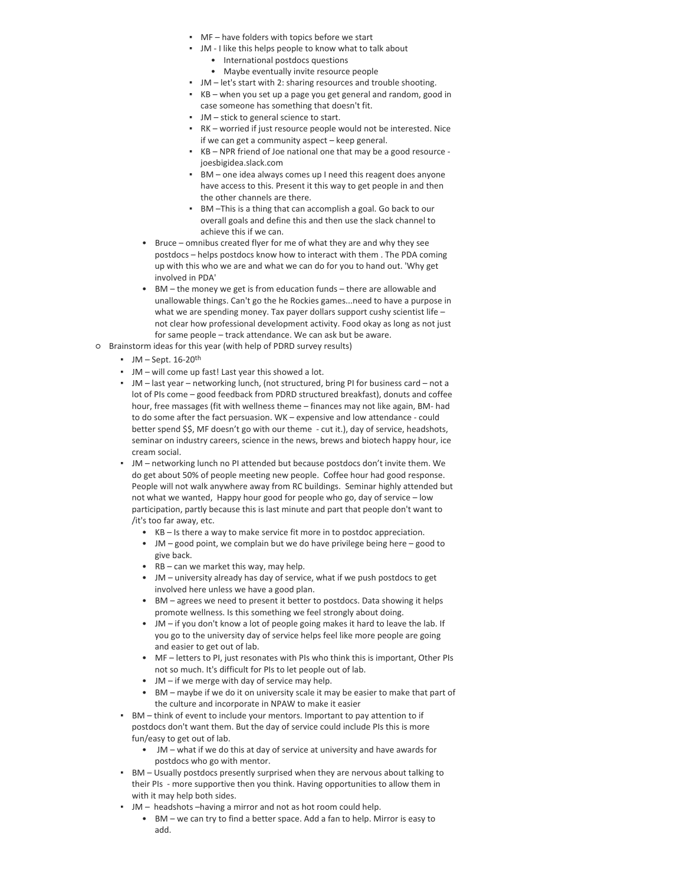- MF have folders with topics before we start
- JM I like this helps people to know what to talk about
	- International postdocs questions
	- Maybe eventually invite resource people
- JM let's start with 2: sharing resources and trouble shooting.
- $KB$  when you set up a page you get general and random, good in case someone has something that doesn't fit.
- JM stick to general science to start.
- RK worried if just resource people would not be interested. Nice if we can get a community aspect - keep general.
- KB NPR friend of Joe national one that may be a good resource joesbigidea.slack.com
- **BM** one idea always comes up I need this reagent does anyone have access to this. Present it this way to get people in and then the other channels are there.
- **BM** –This is a thing that can accomplish a goal. Go back to our overall goals and define this and then use the slack channel to achieve this if we can.
- Bruce omnibus created flyer for me of what they are and why they see postdocs – helps postdocs know how to interact with them . The PDA coming up with this who we are and what we can do for you to hand out. 'Why get involved in PDA'
- BM the money we get is from education funds there are allowable and unallowable things. Can't go the he Rockies games...need to have a purpose in what we are spending money. Tax payer dollars support cushy scientist life not clear how professional development activity. Food okay as long as not just for same people – track attendance. We can ask but be aware.
- Brainstorm ideas for this year (with help of PDRD survey results)
	- $\blacksquare$  JM Sept. 16-20<sup>th</sup>
	- JM will come up fast! Last year this showed a lot.
	- JM last year networking lunch, (not structured, bring PI for business card not a lot of PIs come – good feedback from PDRD structured breakfast), donuts and coffee hour, free massages (fit with wellness theme – finances may not like again, BM- had to do some after the fact persuasion. WK – expensive and low attendance - could better spend \$\$, MF doesn't go with our theme - cut it.), day of service, headshots, seminar on industry careers, science in the news, brews and biotech happy hour, ice cream social.
	- JM networking lunch no PI attended but because postdocs don't invite them. We do get about 50% of people meeting new people. Coffee hour had good response. People will not walk anywhere away from RC buildings. Seminar highly attended but not what we wanted, Happy hour good for people who go, day of service – low participation, partly because this is last minute and part that people don't want to /it's too far away, etc.
		- KB Is there a way to make service fit more in to postdoc appreciation.
		- JM good point, we complain but we do have privilege being here good to give back.
		- RB can we market this way, may help.
		- JM university already has day of service, what if we push postdocs to get involved here unless we have a good plan.
		- BM agrees we need to present it better to postdocs. Data showing it helps promote wellness. Is this something we feel strongly about doing.
		- JM if you don't know a lot of people going makes it hard to leave the lab. If you go to the university day of service helps feel like more people are going and easier to get out of lab.
		- MF letters to PI, just resonates with PIs who think this is important, Other PIs not so much. It's difficult for PIs to let people out of lab.
		- JM if we merge with day of service may help.
		- BM maybe if we do it on university scale it may be easier to make that part of the culture and incorporate in NPAW to make it easier
	- **BM** think of event to include your mentors. Important to pay attention to if postdocs don't want them. But the day of service could include PIs this is more fun/easy to get out of lab.
		- JM what if we do this at day of service at university and have awards for postdocs who go with mentor.
	- BM Usually postdocs presently surprised when they are nervous about talking to their PIs - more supportive then you think. Having opportunities to allow them in with it may help both sides.
	- JM headshots –having a mirror and not as hot room could help.
		- BM we can try to find a better space. Add a fan to help. Mirror is easy to add.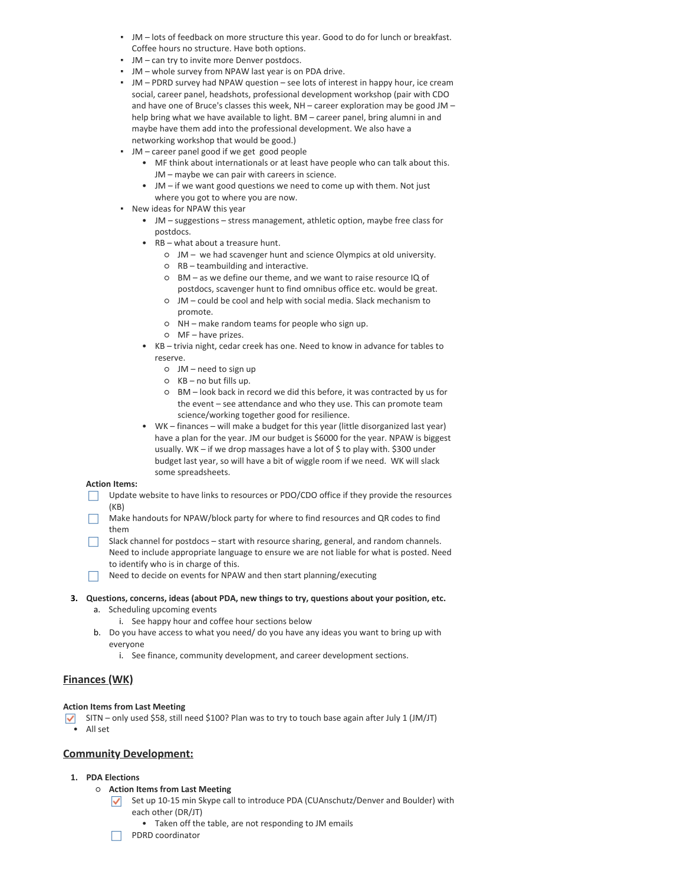- **•** JM lots of feedback on more structure this year. Good to do for lunch or breakfast. Coffee hours no structure. Have both options.
- JM can try to invite more Denver postdocs.
- JM whole survey from NPAW last year is on PDA drive.
- **JM** PDRD survey had NPAW question see lots of interest in happy hour, ice cream social, career panel, headshots, professional development workshop (pair with CDO and have one of Bruce's classes this week,  $NH -$  career exploration may be good JM  $$ help bring what we have available to light. BM – career panel, bring alumni in and maybe have them add into the professional development. We also have a networking workshop that would be good.)
- **•** JM career panel good if we get good people
	- MF think about internationals or at least have people who can talk about this. JM – maybe we can pair with careers in science.
	- JM if we want good questions we need to come up with them. Not just where you got to where you are now.
- New ideas for NPAW this year
	- JM suggestions stress management, athletic option, maybe free class for postdocs.
	- RB what about a treasure hunt.
		- JM we had scavenger hunt and science Olympics at old university.
		- RB teambuilding and interactive.
		- BM as we define our theme, and we want to raise resource IQ of postdocs, scavenger hunt to find omnibus office etc. would be great.
		- JM could be cool and help with social media. Slack mechanism to promote.
		- NH make random teams for people who sign up.
		- MF have prizes.
	- KB trivia night, cedar creek has one. Need to know in advance for tables to reserve.
		- JM need to sign up
		- KB no but fills up.
		- BM look back in record we did this before, it was contracted by us for the event – see attendance and who they use. This can promote team science/working together good for resilience.
	- WK finances will make a budget for this year (little disorganized last year) have a plan for the year. JM our budget is \$6000 for the year. NPAW is biggest usually. WK – if we drop massages have a lot of  $\oint$  to play with.  $\oint$ 300 under budget last year, so will have a bit of wiggle room if we need. WK will slack some spreadsheets.

## **Action Items:**

- Update website to have links to resources or PDO/CDO office if they provide the resources  $\Box$ (KB)
- Make handouts for NPAW/block party for where to find resources and QR codes to find ш them
	- Slack channel for postdocs start with resource sharing, general, and random channels. Need to include appropriate language to ensure we are not liable for what is posted. Need to identify who is in charge of this.
- $\Box$ Need to decide on events for NPAW and then start planning/executing
- **3. Questions, concerns, ideas (about PDA, new things to try, questions about your position, etc.** a. Scheduling upcoming events
	- - i. See happy hour and coffee hour sections below
	- b. Do you have access to what you need/ do you have any ideas you want to bring up with everyone
		- i. See finance, community development, and career development sections.

# **Finances (WK)**

## **Action Items from Last Meeting**

SITN – only used \$58, still need \$100? Plan was to try to touch base again after July 1 (JM/JT) • All set

## **Community Development:**

## **1. PDA Elections**

- **Action Items from Last Meeting**
	- Set up 10-15 min Skype call to introduce PDA (CUAnschutz/Denver and Boulder) with each other (DR/JT)
		- Taken off the table, are not responding to JM emails
		- PDRD coordinator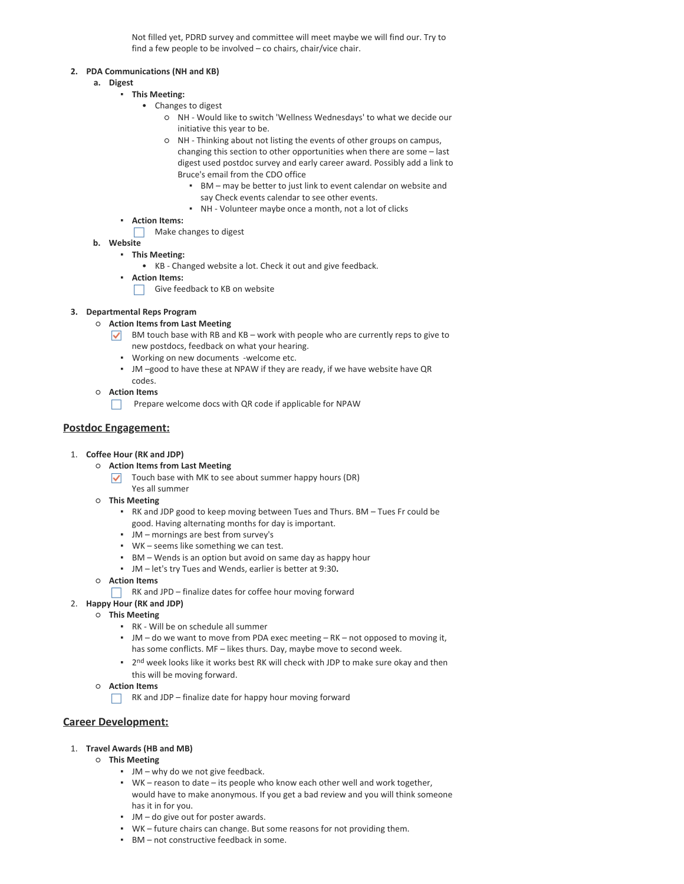Not filled yet, PDRD survey and committee will meet maybe we will find our. Try to find a few people to be involved - co chairs, chair/vice chair.

## **2. PDA Communications (NH and KB)**

- **a. Digest**
	- **This Meeting:**
		- Changes to digest
			- NH Would like to switch 'Wellness Wednesdays' to what we decide our initiative this year to be.
			- NH Thinking about not listing the events of other groups on campus, changing this section to other opportunities when there are some – last digest used postdoc survey and early career award. Possibly add a link to Bruce's email from the CDO office
				- BM may be better to just link to event calendar on website and say Check events calendar to see other events.
				- NH Volunteer maybe once a month, not a lot of clicks
	- **Action Items:**
		- Make changes to digest
- **b. Website**
	- **This Meeting:**
		- KB Changed website a lot. Check it out and give feedback.
	- **Action Items:**
		- $\Box$  Give feedback to KB on website

## **3. Departmental Reps Program**

- **Action Items from Last Meeting**
	- BM touch base with RB and KB work with people who are currently reps to give to new postdocs, feedback on what your hearing.
		- Working on new documents -welcome etc.
		- **JM** -good to have these at NPAW if they are ready, if we have website have QR codes.
- **Action Items**
	- **Prepare welcome docs with QR code if applicable for NPAW**

# **Postdoc Engagement:**

- 1. **Coffee Hour (RK and JDP)**
	- **Action Items from Last Meeting**
		- $\triangledown$  Touch base with MK to see about summer happy hours (DR)
		- Yes all summer
	- **This Meeting**
		- RK and JDP good to keep moving between Tues and Thurs. BM Tues Fr could be good. Having alternating months for day is important.
		- JM mornings are best from survey's
		- WK seems like something we can test.
		- BM Wends is an option but avoid on same day as happy hour
		- JM let's try Tues and Wends, earlier is better at 9:30**.**
	- **Action Items**
		- $\Box$  RK and JPD finalize dates for coffee hour moving forward
- 2. **Happy Hour (RK and JDP)**
	- **This Meeting**
		- RK Will be on schedule all summer
		- JM do we want to move from PDA exec meeting RK not opposed to moving it, has some conflicts. MF - likes thurs. Day, maybe move to second week.
		- **•** 2<sup>nd</sup> week looks like it works best RK will check with JDP to make sure okay and then this will be moving forward.
		- **Action Items**
			- $\Box$  RK and JDP finalize date for happy hour moving forward

# **Career Development:**

## 1. **Travel Awards (HB and MB)**

- **This Meeting**
	- JM why do we not give feedback.
	- WK reason to date its people who know each other well and work together, would have to make anonymous. If you get a bad review and you will think someone has it in for you.
	- JM do give out for poster awards.
	- WK future chairs can change. But some reasons for not providing them.
	- BM not constructive feedback in some.